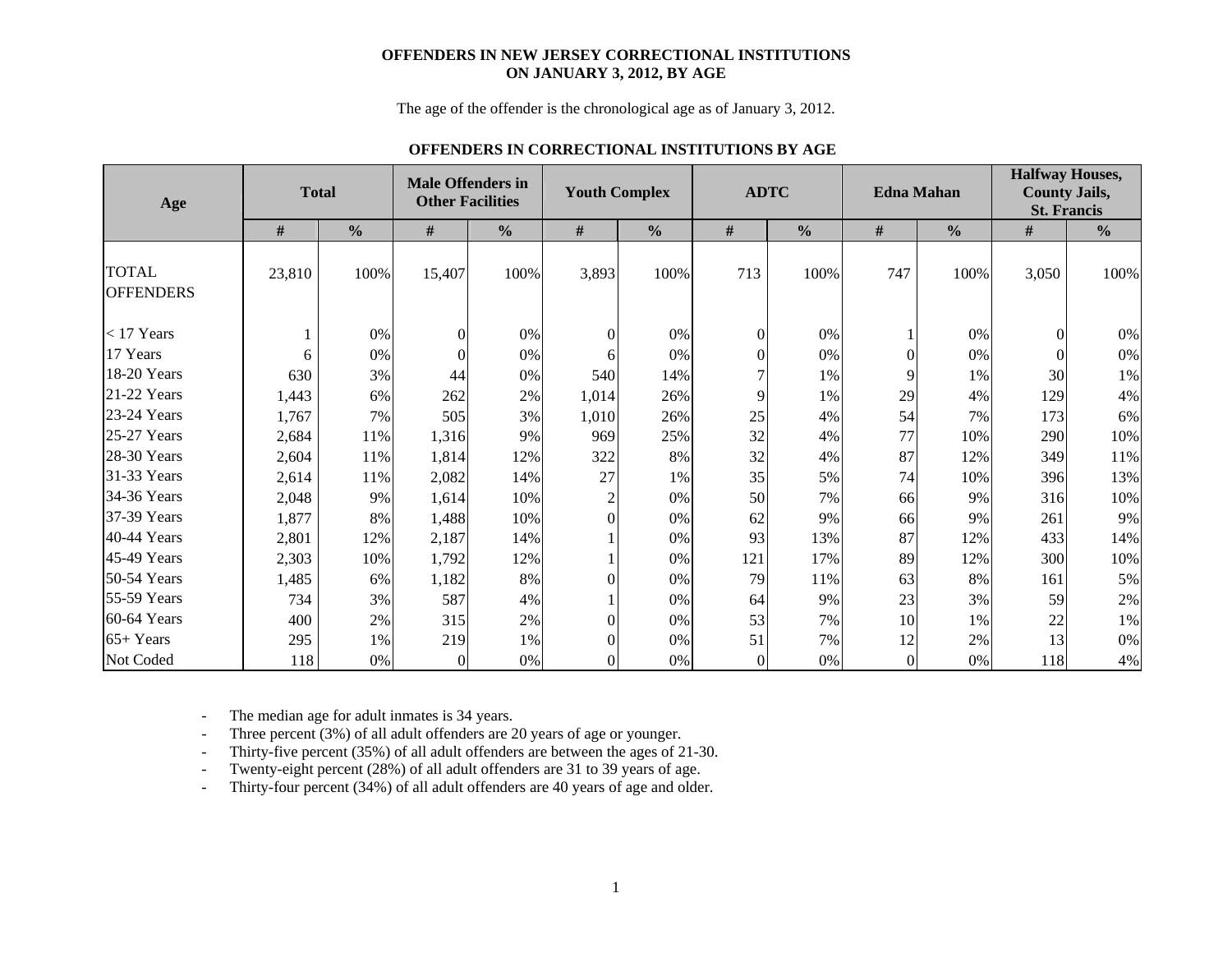#### **OFFENDERS IN NEW JERSEY CORRECTIONAL INSTITUTIONS ON JANUARY 3, 2012, BY AGE**

The age of the offender is the chronological age as of January 3, 2012.

### **OFFENDERS IN CORRECTIONAL INSTITUTIONS BY AGE**

| Age                              |        | <b>Total</b>  | <b>Male Offenders in</b><br><b>Other Facilities</b> |               |                | <b>Youth Complex</b> |          | <b>ADTC</b>   |                  | <b>Edna Mahan</b> | <b>Halfway Houses,</b><br><b>County Jails,</b><br><b>St. Francis</b> |               |
|----------------------------------|--------|---------------|-----------------------------------------------------|---------------|----------------|----------------------|----------|---------------|------------------|-------------------|----------------------------------------------------------------------|---------------|
|                                  | #      | $\frac{0}{0}$ | $\#$                                                | $\frac{0}{0}$ | $\#$           | $\frac{0}{0}$        | $\#$     | $\frac{0}{0}$ | $\#$             | $\frac{0}{0}$     | $\#$                                                                 | $\frac{0}{0}$ |
| <b>TOTAL</b><br><b>OFFENDERS</b> | 23,810 | 100%          | 15,407                                              | 100%          | 3,893          | 100%                 | 713      | 100%          | 747              | 100%              | 3,050                                                                | 100%          |
| $<$ 17 Years                     |        | 0%            | $\Omega$                                            | 0%            | $\Omega$       | 0%                   | $\Omega$ | 0%            |                  | 0%                | $\Omega$                                                             | 0%            |
| 17 Years                         | 6      | 0%            |                                                     | 0%            | 6              | 0%                   |          | $0\%$         | $\overline{0}$   | 0%                |                                                                      | 0%            |
| 18-20 Years                      | 630    | 3%            | 44                                                  | 0%            | 540            | 14%                  |          | 1%            | 9                | 1%                | 30                                                                   | 1%            |
| 21-22 Years                      | 1,443  | 6%            | 262                                                 | 2%            | 1,014          | 26%                  | 9        | 1%            | 29               | 4%                | 129                                                                  | 4%            |
| 23-24 Years                      | 1,767  | 7%            | 505                                                 | 3%            | 1.010          | 26%                  | 25       | 4%            | 54               | 7%                | 173                                                                  | 6%            |
| 25-27 Years                      | 2,684  | 11%           | 1,316                                               | 9%            | 969            | 25%                  | 32       | 4%            | 77               | 10%               | 290                                                                  | 10%           |
| 28-30 Years                      | 2,604  | 11%           | 1,814                                               | 12%           | 322            | 8%                   | 32       | 4%            | 87               | 12%               | 349                                                                  | 11%           |
| 31-33 Years                      | 2,614  | 11%           | 2,082                                               | 14%           | 27             | 1%                   | 35       | 5%            | 74               | 10%               | 396                                                                  | 13%           |
| 34-36 Years                      | 2,048  | 9%            | 1,614                                               | 10%           | 2              | 0%                   | 50       | 7%            | 66               | 9%                | 316                                                                  | 10%           |
| 37-39 Years                      | 1,877  | 8%            | 1,488                                               | 10%           | $\Omega$       | 0%                   | 62       | 9%            | 66               | 9%                | 261                                                                  | 9%            |
| 40-44 Years                      | 2,801  | 12%           | 2,187                                               | 14%           |                | 0%                   | 93       | 13%           | 87               | 12%               | 433                                                                  | 14%           |
| 45-49 Years                      | 2,303  | 10%           | 1,792                                               | 12%           |                | 0%                   | 121      | 17%           | 89               | 12%               | 300                                                                  | 10%           |
| 50-54 Years                      | 1,485  | 6%            | 1,182                                               | 8%            | 0              | 0%                   | 79       | 11%           | 63               | 8%                | 161                                                                  | 5%            |
| 55-59 Years                      | 734    | 3%            | 587                                                 | 4%            |                | 0%                   | 64       | 9%            | 23               | 3%                | 59                                                                   | 2%            |
| 60-64 Years                      | 400    | 2%            | 315                                                 | 2%            | 0              | 0%                   | 53       | 7%            | 10               | 1%                | 22                                                                   | 1%            |
| $65+Years$                       | 295    | 1%            | 219                                                 | 1%            | $\Omega$       | $0\%$                | 51       | 7%            | 12               | 2%                | 13                                                                   | 0%            |
| Not Coded                        | 118    | 0%            | $\theta$                                            | 0%            | $\overline{0}$ | 0%                   | $\theta$ | 0%            | $\boldsymbol{0}$ | 0%                | 118                                                                  | 4%            |

-The median age for adult inmates is 34 years.

-Three percent (3%) of all adult offenders are 20 years of age or younger.

-Thirty-five percent (35%) of all adult offenders are between the ages of 21-30.

-Twenty-eight percent (28%) of all adult offenders are 31 to 39 years of age.

-Thirty-four percent (34%) of all adult offenders are 40 years of age and older.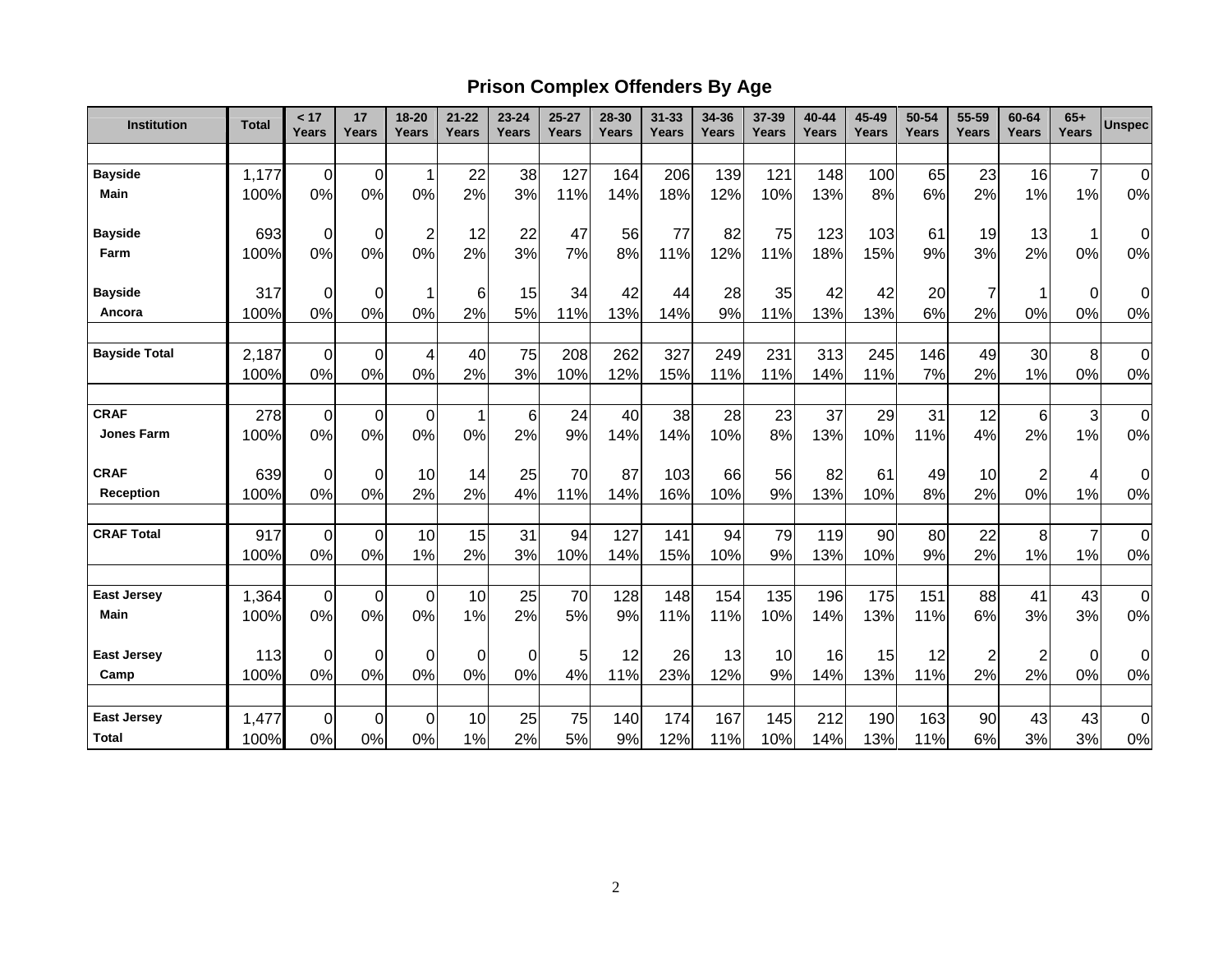# **Prison Complex Offenders By Age**

| Institution          | <b>Total</b> | < 17<br>Years  | 17<br>Years      | 18-20<br>Years | $21 - 22$<br>Years | $23 - 24$<br><b>Years</b> | $25 - 27$<br>Years | 28-30<br>Years | $31 - 33$<br>Years | 34-36<br><b>Years</b> | 37-39<br>Years | 40-44<br>Years | 45-49<br>Years | 50-54<br>Years | 55-59<br>Years | 60-64<br>Years | $65+$<br><b>Years</b>     | <b>Unspec</b>  |
|----------------------|--------------|----------------|------------------|----------------|--------------------|---------------------------|--------------------|----------------|--------------------|-----------------------|----------------|----------------|----------------|----------------|----------------|----------------|---------------------------|----------------|
|                      |              |                |                  |                |                    |                           |                    |                |                    |                       |                |                |                |                |                |                |                           |                |
| <b>Bayside</b>       | 1,177        | $\overline{0}$ | $\mathbf 0$      | 1              | 22                 | 38                        | 127                | 164            | 206                | 139                   | 121            | 148            | 100            | 65             | 23             | 16             | $\overline{7}$            | $\Omega$       |
| <b>Main</b>          | 100%         | 0%             | 0%               | 0%             | 2%                 | 3%                        | 11%                | 14%            | 18%                | 12%                   | 10%            | 13%            | 8%             | 6%             | 2%             | 1%             | 1%                        | 0%             |
| <b>Bayside</b>       | 693          | $\mathbf 0$    | 0                | $\overline{c}$ | 12                 | 22                        | 47                 | 56             | 77                 | 82                    | 75             | 123            | 103            | 61             | 19             | 13             | 1                         | $\overline{O}$ |
| Farm                 | 100%         | 0%             | 0%               | 0%             | 2%                 | 3%                        | 7%                 | 8%             | 11%                | 12%                   | 11%            | 18%            | 15%            | 9%             | 3%             | 2%             | 0%                        | 0%             |
| <b>Bayside</b>       | 317          | $\mathbf 0$    | 0                | 1              | 6                  | 15                        | 34                 | 42             | 44                 | 28                    | 35             | 42             | 42             | 20             |                | 1              | $\boldsymbol{0}$          | $\overline{O}$ |
| Ancora               | 100%         | 0%             | 0%               | 0%             | 2%                 | 5%                        | 11%                | 13%            | 14%                | 9%                    | 11%            | 13%            | 13%            | 6%             | 2%             | 0%             | 0%                        | 0%             |
| <b>Bayside Total</b> | 2,187        | $\mathbf 0$    | $\mathbf 0$      | 4              | 40                 | 75                        | 208                | 262            | 327                | 249                   | 231            | 313            | 245            | 146            | 49             | 30             | 8                         | $\overline{0}$ |
|                      | 100%         | 0%             | 0%               | 0%             | 2%                 | 3%                        | 10%                | 12%            | 15%                | 11%                   | 11%            | 14%            | 11%            | 7%             | 2%             | 1%             | 0%                        | 0%             |
| <b>CRAF</b>          | 278          | $\overline{0}$ | $\boldsymbol{0}$ | 0              | 1                  | $6 \mid$                  | 24                 | 40             | 38                 | 28                    | 23             | 37             | 29             | 31             | 12             | 6              | $\ensuremath{\mathsf{3}}$ | $\overline{0}$ |
| <b>Jones Farm</b>    | 100%         | 0%             | 0%               | 0%             | 0%                 | 2%                        | 9%                 | 14%            | 14%                | 10%                   | 8%             | 13%            | 10%            | 11%            | 4%             | 2%             | 1%                        | 0%             |
| <b>CRAF</b>          | 639          | 0              | $\mathbf 0$      | 10             | 14                 | 25                        | 70                 | 87             | 103                | 66                    | 56             | 82             | 61             | 49             | 10             | $\overline{2}$ | 4                         | $\overline{O}$ |
| Reception            | 100%         | 0%             | 0%               | 2%             | 2%                 | 4%                        | 11%                | 14%            | 16%                | 10%                   | 9%             | 13%            | 10%            | 8%             | 2%             | 0%             | 1%                        | 0%             |
| <b>CRAF Total</b>    | 917          | $\mathbf 0$    | $\mathbf 0$      | 10             | 15                 | 31                        | 94                 | 127            | 141                | 94                    | 79             | 119            | 90             | 80             | 22             | 8              | $\overline{7}$            | $\overline{0}$ |
|                      | 100%         | 0%             | 0%               | 1%             | 2%                 | 3%                        | 10%                | 14%            | 15%                | 10%                   | 9%             | 13%            | 10%            | 9%             | 2%             | 1%             | 1%                        | 0%             |
| <b>East Jersey</b>   | 1,364        | $\mathbf 0$    | $\boldsymbol{0}$ | $\overline{0}$ | 10                 | 25                        | 70                 | 128            | 148                | 154                   | 135            | 196            | 175            | 151            | 88             | 41             | 43                        | $\overline{0}$ |
| <b>Main</b>          | 100%         | 0%             | 0%               | 0%             | 1%                 | 2%                        | 5%                 | 9%             | 11%                | 11%                   | 10%            | 14%            | 13%            | 11%            | 6%             | 3%             | 3%                        | 0%             |
| <b>East Jersey</b>   | 113          | $\mathbf 0$    | 0                | 0              | 0                  | $\overline{0}$            | 5                  | 12             | 26                 | 13                    | 10             | 16             | 15             | 12             | $\overline{2}$ | $\overline{2}$ | $\pmb{0}$                 | $\overline{O}$ |
| Camp                 | 100%         | 0%             | 0%               | 0%             | 0%                 | 0%                        | 4%                 | 11%            | 23%                | 12%                   | 9%             | 14%            | 13%            | 11%            | 2%             | 2%             | 0%                        | 0%             |
| <b>East Jersey</b>   | 1,477        | 0              | $\mathbf 0$      | 0              | 10                 | 25                        | 75                 | 140            | 174                | 167                   | 145            | 212            | 190            | 163            | 90             | 43             | 43                        | $\overline{0}$ |
| <b>Total</b>         | 100%         | 0%             | 0%               | 0%             | 1%                 | 2%                        | 5%                 | 9%             | 12%                | 11%                   | 10%            | 14%            | 13%            | 11%            | 6%             | 3%             | 3%                        | $0\%$          |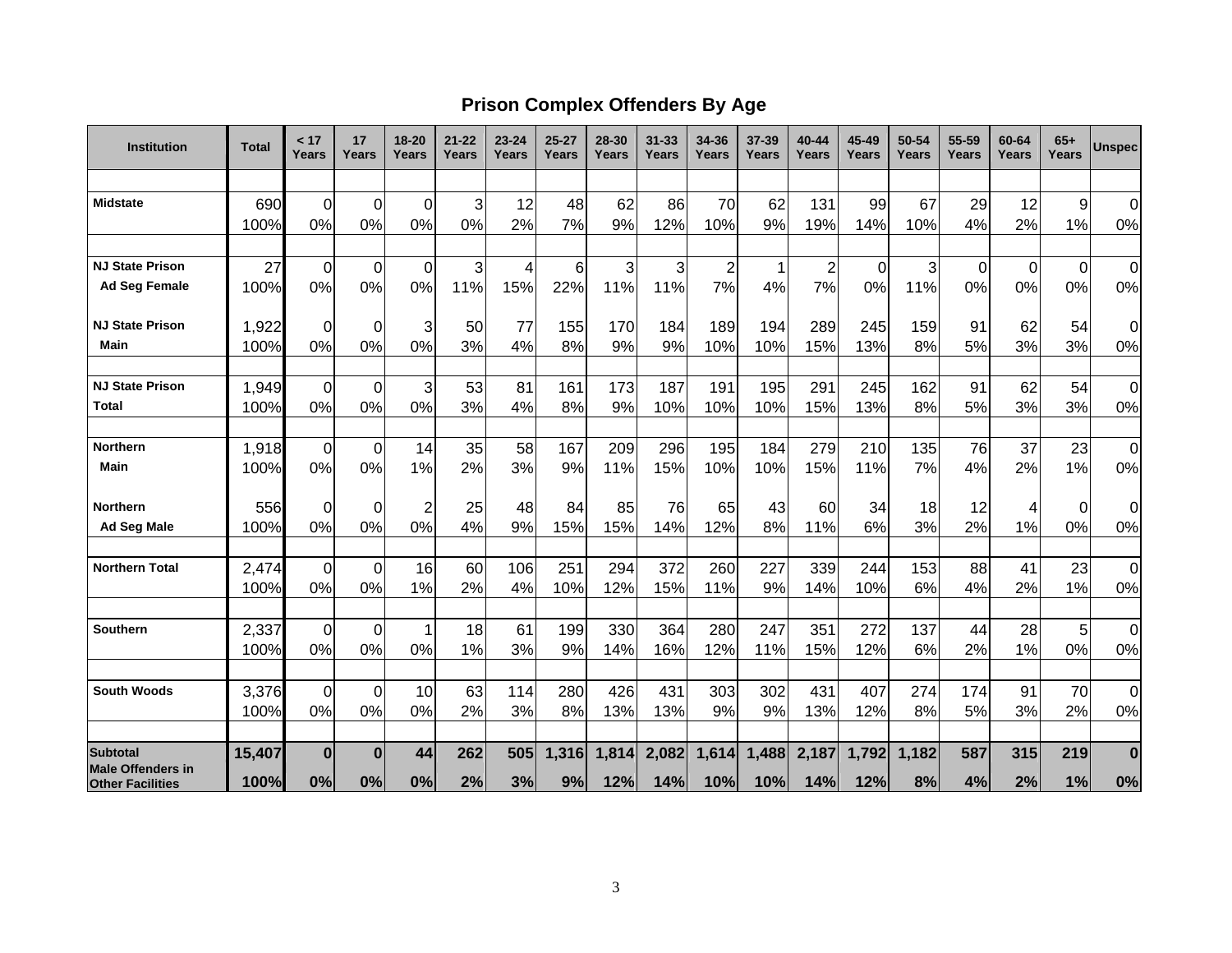## **Prison Complex Offenders By Age**

| <b>Institution</b>                          | <b>Total</b>  | < 17<br>Years | 17<br>Years       | $18 - 20$<br><b>Years</b> | 21-22<br>Years | $23 - 24$<br>Years | $25 - 27$<br>Years | 28-30<br>Years | $31 - 33$<br>Years | 34-36<br>Years | $37 - 39$<br>Years | 40-44<br>Years | 45-49<br>Years | 50-54<br>Years | 55-59<br>Years | 60-64<br>Years | $65+$<br>Years | <b>Unspec</b>  |
|---------------------------------------------|---------------|---------------|-------------------|---------------------------|----------------|--------------------|--------------------|----------------|--------------------|----------------|--------------------|----------------|----------------|----------------|----------------|----------------|----------------|----------------|
|                                             |               |               |                   |                           |                |                    |                    |                |                    |                |                    |                |                |                |                |                |                |                |
| <b>Midstate</b>                             | 690           | 0             | $\Omega$          | $\Omega$                  | 3              | 12                 | 48                 | 62             | 86                 | 70             | 62                 | 131            | 99             | 67             | 29             | 12             | 9              | 0              |
|                                             | 100%          | 0%            | 0%                | 0%                        | 0%             | 2%                 | 7%                 | 9%             | 12%                | 10%            | 9%                 | 19%            | 14%            | 10%            | 4%             | 2%             | 1%             | $0\%$          |
|                                             |               |               |                   |                           |                |                    |                    |                |                    |                |                    |                |                |                |                |                |                |                |
| <b>NJ State Prison</b>                      | 27            | 0             | $\Omega$          | $\mathbf 0$               | 3              | 4                  | 6                  | 3              | 3                  | $\overline{2}$ |                    | $\overline{2}$ | $\mathbf 0$    | 3              | 0              | $\Omega$       | $\Omega$       | $\mathbf 0$    |
| <b>Ad Seg Female</b>                        | 100%          | 0%            | 0%                | 0%                        | 11%            | 15%                | 22%                | 11%            | 11%                | 7%             | 4%                 | 7%             | 0%             | 11%            | 0%             | 0%             | 0%             | 0%             |
| <b>NJ State Prison</b>                      | 1,922         | 0             | $\overline{0}$    | 3                         | 50             | 77                 | 155                | 170            | 184                | 189            | 194                | 289            | 245            | 159            | 91             | 62             | 54             | 0              |
| Main                                        | 100%          | 0%            | 0%                | 0%                        | 3%             | 4%                 | 8%                 | 9%             | 9%                 | 10%            | 10%                | 15%            | 13%            | 8%             | 5%             | 3%             | 3%             | 0%             |
| <b>NJ State Prison</b>                      | 1,949         |               | $\Omega$          | 3                         | 53             | 81                 | 161                | 173            | 187                | 191            | 195                | 291            | 245            | 162            | 91             | 62             | 54             | $\overline{0}$ |
| <b>Total</b>                                | 100%          | 0<br>0%       | 0%                | 0%                        | 3%             | 4%                 | 8%                 | 9%             | 10%                | 10%            | 10%                | 15%            | 13%            | 8%             | 5%             | 3%             | 3%             | 0%             |
|                                             |               |               |                   |                           |                |                    |                    |                |                    |                |                    |                |                |                |                |                |                |                |
| <b>Northern</b>                             | 1,918         | 0             | $\overline{0}$    | 14                        | 35             | 58                 | 167                | 209            | 296                | 195            | 184                | 279            | 210            | 135            | 76             | 37             | 23             | 0              |
| Main                                        | 100%          | 0%            | 0%                | 1%                        | 2%             | 3%                 | 9%                 | 11%            | 15%                | 10%            | 10%                | 15%            | 11%            | 7%             | 4%             | 2%             | 1%             | 0%             |
| <b>Northern</b>                             | 556           | 0             | 0                 | $\overline{2}$            | 25             | 48                 | 84                 | 85             | 76                 | 65             | 43                 | 60             | 34             | 18             | 12             | 4              | $\overline{0}$ | 0              |
| <b>Ad Seg Male</b>                          | 100%          | 0%            | 0%                | 0%                        | 4%             | 9%                 | 15%                | 15%            | 14%                | 12%            | 8%                 | 11%            | 6%             | 3%             | 2%             | 1%             | 0%             | 0%             |
|                                             |               |               |                   |                           |                |                    |                    |                |                    |                |                    |                |                |                |                |                |                |                |
| <b>Northern Total</b>                       | 2,474<br>100% | 0<br>0%       | $\mathbf 0$<br>0% | 16<br>1%                  | 60<br>2%       | 106<br>4%          | 251<br>10%         | 294<br>12%     | 372                | 260<br>11%     | 227<br>9%          | 339<br>14%     | 244<br>10%     | 153<br>6%      | 88<br>4%       | 41<br>2%       | 23<br>1%       | 0<br>$0\%$     |
|                                             |               |               |                   |                           |                |                    |                    |                | 15%                |                |                    |                |                |                |                |                |                |                |
| <b>Southern</b>                             | 2,337         | $\mathbf 0$   | $\overline{0}$    | 1                         | 18             | 61                 | 199                | 330            | 364                | 280            | 247                | 351            | 272            | 137            | 44             | 28             | 5              | $\mathbf 0$    |
|                                             | 100%          | 0%            | 0%                | 0%                        | 1%             | 3%                 | 9%                 | 14%            | 16%                | 12%            | 11%                | 15%            | 12%            | 6%             | 2%             | 1%             | 0%             | $0\%$          |
| <b>South Woods</b>                          | 3,376         | 0             | $\Omega$          | 10                        | 63             | 114                | 280                | 426            | 431                | 303            | 302                | 431            | 407            | 274            | 174            | 91             | 70             | $\mathbf 0$    |
|                                             | 100%          | 0%            | 0%                | 0%                        | 2%             | 3%                 | 8%                 | 13%            | 13%                | 9%             | 9%                 | 13%            | 12%            | 8%             | 5%             | 3%             | 2%             | $0\%$          |
|                                             |               |               |                   |                           |                |                    |                    |                |                    |                |                    |                |                |                |                |                |                |                |
| <b>Subtotal</b><br><b>Male Offenders in</b> | 15,407        | $\bf{0}$      | $\Omega$          | 44                        | 262            | 505                | 1,316              | 1,814          | 2,082              | 1,614          | 1,488              | 2,187          | 1,792          | 1,182          | 587            | 315            | 219            | $\bf{0}$       |
| <b>Other Facilities</b>                     | 100%          | 0%            | 0%                | 0%                        | 2%             | 3%                 | 9%                 | 12%            | 14%                | 10%            | 10%                | 14%            | 12%            | 8%             | 4%             | 2%             | 1%             | 0%             |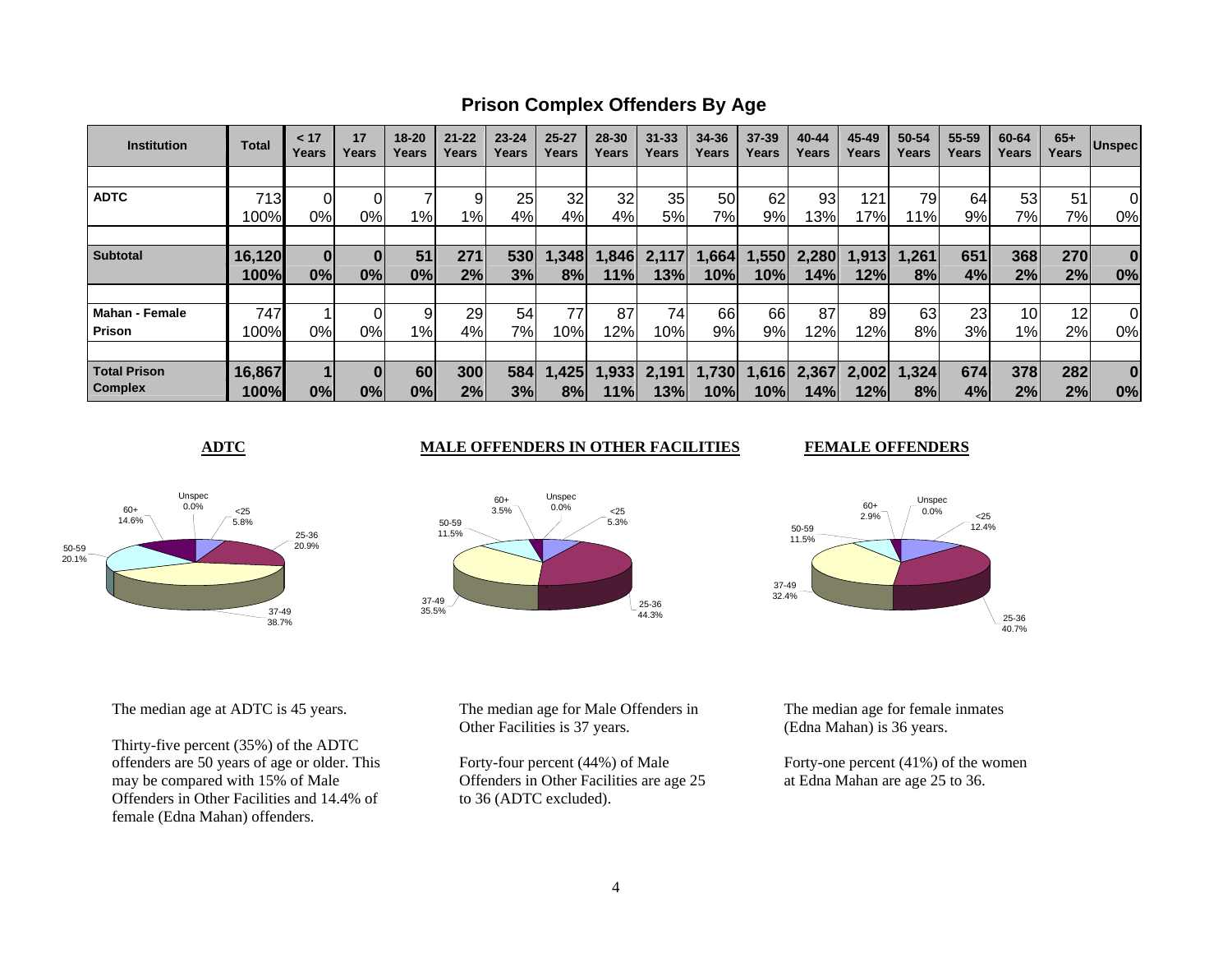**Prison Complex Offenders By Age**

| <b>Institution</b>    | <b>Total</b> | < 17<br>Years | 17<br>Years | $18 - 20$<br>Years | $21 - 22$<br>Years | $23 - 24$<br>Years | $25 - 27$<br>Years | 28-30<br>Years | $31 - 33$<br>Years | 34-36<br>Years | $37 - 39$<br>Years | 40-44<br>Years | 45-49<br>Years | 50-54<br>Years | 55-59<br>Years | 60-64<br>Years  | $65+$<br>Years | <b>Unspec</b> |
|-----------------------|--------------|---------------|-------------|--------------------|--------------------|--------------------|--------------------|----------------|--------------------|----------------|--------------------|----------------|----------------|----------------|----------------|-----------------|----------------|---------------|
|                       |              |               |             |                    |                    |                    |                    |                |                    |                |                    |                |                |                |                |                 |                |               |
| <b>ADTC</b>           | 713          |               |             |                    | 9                  | 25                 | 32                 | 32             | 35                 | 50             | 62                 | 93             | 121            | 79             | 64             | 53              | 51             | 0             |
|                       | 100%         | 0%            | 0%          | 1%                 | 1%                 | 4%                 | 4%                 | 4%             | 5%                 | 7%             | 9%                 | 13%            | 17%            | $1\%$          | 9%             | 7%              | 7%             | 0%            |
|                       |              |               |             |                    |                    |                    |                    |                |                    |                |                    |                |                |                |                |                 |                |               |
| <b>Subtotal</b>       | 16,120       | 0             | 0           | 51                 | 271                | 530                | 1,348              | ,846           | 2.117              | 1,664          | ,550               | 2,280          | 1,913          | 1,261          | 651            | 368             | 270            | $\bf{0}$      |
|                       | 100%         | 0%            | 0%          | 0%                 | 2%                 | 3%                 | 8%                 | 11%            | 13%                | 10%l           | 10%                | 14%            | 12%            | 8%             | 4%             | 2%              | 2%             | 0%            |
|                       |              |               |             |                    |                    |                    |                    |                |                    |                |                    |                |                |                |                |                 |                |               |
| <b>Mahan - Female</b> | 747          |               |             |                    | 29                 | 54                 | 77                 | 87             | 74                 | 66             | 66                 | 87             | 89             | 63             | 23             | 10 <sup>1</sup> | 12             | 0             |
| <b>Prison</b>         | 100%         | 0%            | 0%          | 1%                 | 4%                 | 7%                 | 10%                | 12%            | 10%                | 9%             | 9%                 | 12%            | 12%            | 8%             | 3%             | $1\%$           | 2%             | 0%            |
|                       |              |               |             |                    |                    |                    |                    |                |                    |                |                    |                |                |                |                |                 |                |               |
| <b>Total Prison</b>   | 16,867       |               |             | 60                 | 300                | 584                | 1,425              | .933           | 2,191              | 1,730          | .616               | 2,367          | 2,002          | 1,324          | 674            | 378             | 282            | $\bf{0}$      |
| <b>Complex</b>        | 100%         | 0%            | 0%          | 0%                 | 2%                 | 3%                 | 8%                 | 11%            | 13%                | 10%l           | 10%                | 14%            | 12%l           | 8%             | 4%             | 2%              | 2%             | 0%            |



**ADTC** MALE OFFENDERS IN OTHER FACILITIES

Unspec 9.1.5pc<br>0.0%

37-4935.5%

50-5911.5% 60+3.5% **FEMALE OFFENDERS** 



The median age at ADTC is 45 years.

Thirty-five percent (35%) of the ADTC offenders are 50 years of age or older. This may be compared with 15% of Male Offenders in Other Facilities and 14.4% of female (Edna Mahan) offenders.

The median age for Male Offenders in Other Facilities is 37 years.

Forty-four percent (44%) of Male Offenders in Other Facilities are age 25 to 36 (ADTC excluded).

The median age for female inmates (Edna Mahan) is 36 years.

Forty-one percent (41%) of the women at Edna Mahan are age 25 to 36.

25-3644.3%

 <255.3%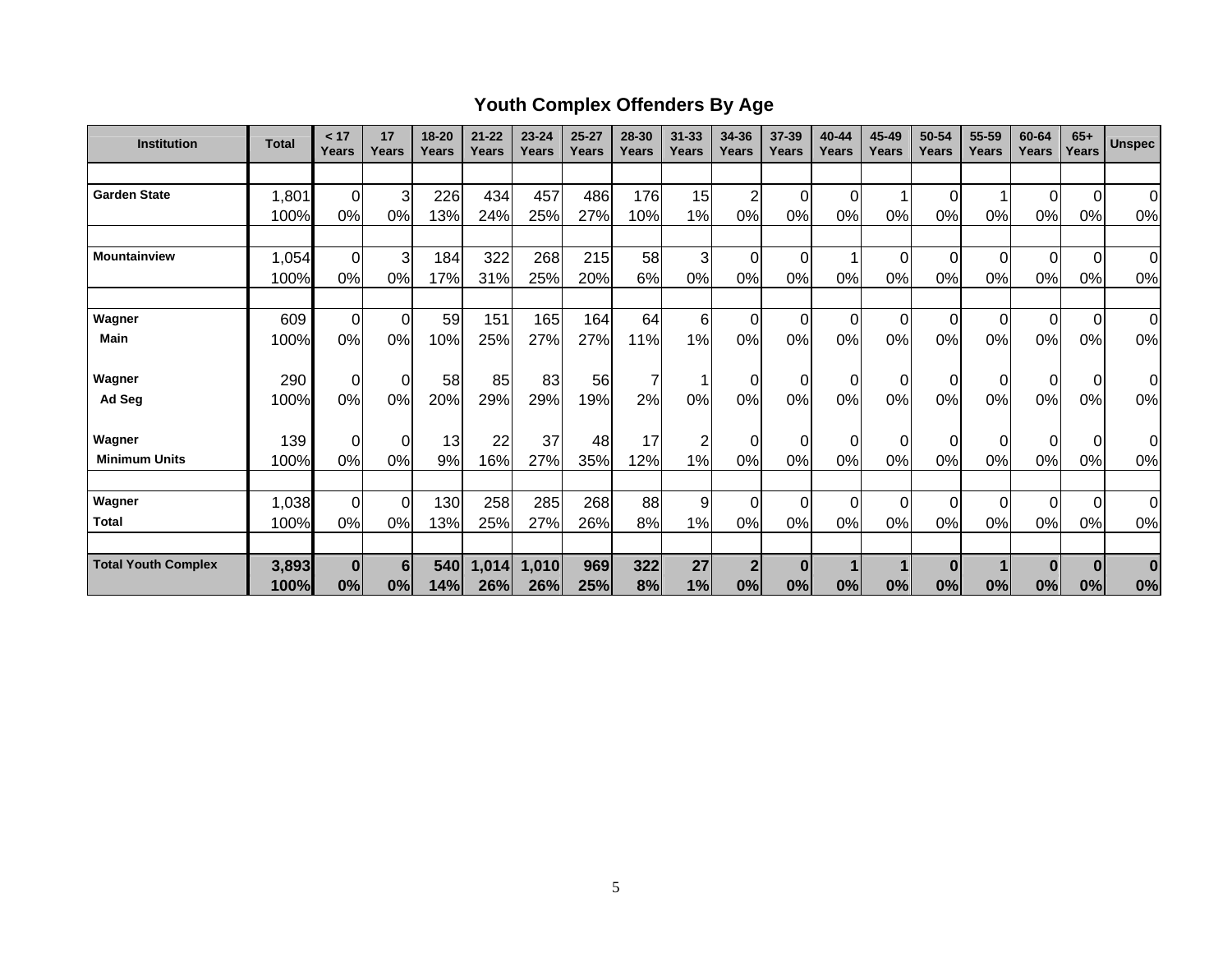# **Youth Complex Offenders By Age**

| <b>Institution</b>             | <b>Total</b>  | < 17<br>Years  | 17<br>Years    | 18-20<br>Years | $21 - 22$<br>Years | $23 - 24$<br>Years | $25 - 27$<br><b>Years</b> | 28-30<br><b>Years</b> | $31 - 33$<br>Years | 34-36<br>Years       | 37-39<br>Years | 40-44<br>Years | 45-49<br>Years | 50-54<br><b>Years</b> | 55-59<br>Years | 60-64<br>Years | $65+$<br>Years | <b>Unspec</b>  |
|--------------------------------|---------------|----------------|----------------|----------------|--------------------|--------------------|---------------------------|-----------------------|--------------------|----------------------|----------------|----------------|----------------|-----------------------|----------------|----------------|----------------|----------------|
|                                |               |                |                |                |                    |                    |                           |                       |                    |                      |                |                |                |                       |                |                |                |                |
| <b>Garden State</b>            | 1,801         | $\overline{0}$ | 3              | 226            | 434                | 457                | 486                       | 176                   | 15                 | $\overline{c}$       | 0              | 0              |                | 0                     |                | $\Omega$       | $\overline{0}$ | $\overline{0}$ |
|                                | 100%          | 0%             | 0%             | 13%            | 24%                | 25%                | 27%                       | 10%                   | 1%                 | 0%                   | 0%             | 0%             | 0%             | 0%                    | 0%             | 0%             | 0%             | 0%             |
|                                |               |                |                |                |                    |                    |                           |                       |                    |                      |                |                |                |                       |                |                |                |                |
| <b>Mountainview</b>            | 1,054         | $\mathbf 0$    | $\mathbf{3}$   | 184            | 322                | 268                | 215                       | 58                    | 3                  | $\mathbf 0$          | $\Omega$       |                | $\Omega$       | 0                     | $\Omega$       | $\Omega$       | $\mathbf 0$    | $\overline{0}$ |
|                                | 100%          | 0%             | 0%             | 17%            | 31%                | 25%                | 20%                       | 6%                    | 0%                 | 0%                   | 0%             | $0\%$          | 0%             | 0%                    | 0%             | 0%             | 0%             | 0%             |
|                                |               |                |                |                |                    |                    |                           |                       |                    |                      |                |                |                |                       |                |                |                |                |
| Wagner                         | 609           | 0              | $\overline{0}$ | 59             | 151                | 165                | 164                       | 64                    | 6                  | $\mathbf 0$          | $\Omega$       | $\Omega$       | $\Omega$       | 0                     | $\Omega$       | $\Omega$       | $\overline{0}$ | $\overline{0}$ |
| <b>Main</b>                    | 100%          | 0%             | 0%             | 10%            | 25%                | 27%                | 27%                       | 11%                   | 1%                 | 0%                   | 0%             | 0%             | 0%             | 0%                    | 0%             | 0%             | 0%             | 0%             |
|                                |               |                |                |                |                    |                    |                           |                       |                    |                      |                |                |                |                       |                |                |                |                |
| Wagner                         | 290           | $\mathbf 0$    | $\overline{0}$ | 58             | 85                 | 83                 | 56                        | 7                     | 1                  | $\pmb{0}$            | 0              | 0              | $\Omega$       | $\pmb{0}$             |                | 0              | $\overline{0}$ | Οl             |
| Ad Seg                         | 100%          | 0%             | 0%             | 20%            | 29%                | 29%                | 19%                       | 2%                    | 0%                 | 0%                   | 0%             | 0%             | 0%             | 0%                    | 0%             | 0%             | 0%             | 0%             |
|                                |               |                |                |                |                    |                    |                           | 17                    |                    |                      |                |                |                |                       |                |                |                |                |
| Wagner<br><b>Minimum Units</b> | 139           | $\mathbf 0$    | $\overline{0}$ | 13             | 22                 | 37                 | 48                        |                       | $\overline{c}$     | $\mathbf 0$          | $\Omega$       | 0              | 0              | 0                     |                | $\Omega$       | $\overline{0}$ | Οl             |
|                                | 100%          | 0%             | 0%             | 9%             | 16%                | 27%                | 35%                       | 12%                   | 1%                 | 0%                   | 0%             | 0%             | 0%             | 0%                    | 0%             | 0%             | 0%             | 0%             |
| Wagner                         | 1,038         | $\mathbf 0$    | $\Omega$       | 130            | 258                | 285                | 268                       | 88                    | 9                  | $\mathbf 0$          | $\Omega$       | $\Omega$       | $\Omega$       | 0                     | 0              | $\Omega$       | $\overline{0}$ | $\overline{0}$ |
| <b>Total</b>                   |               | 0%             | 0%             |                |                    |                    |                           | 8%                    | 1%                 | 0%                   | 0%             |                | 0%             | 0%                    | 0%             | 0%             |                |                |
|                                | 100%          |                |                | 13%            | 25%                | 27%                | 26%                       |                       |                    |                      |                | 0%             |                |                       |                |                | 0%             | 0%             |
| <b>Total Youth Complex</b>     |               |                | 6              |                |                    |                    |                           |                       | 27                 |                      |                |                |                |                       |                |                |                | $\bf{0}$       |
|                                | 3,893<br>100% | 0 <br>0%       | 0%             | 540<br>14%     | 1,014<br>26%       | 1,010<br>26%       | 969<br>25%                | 322<br>8%             | 1%                 | $\overline{2}$<br>0% | $\bf{0}$<br>0% | 0%             | 0%             | $\bf{0}$<br>0%        | 0%             | $\bf{0}$<br>0% | $\bf{0}$<br>0% | 0%             |
|                                |               |                |                |                |                    |                    |                           |                       |                    |                      |                |                |                |                       |                |                |                |                |